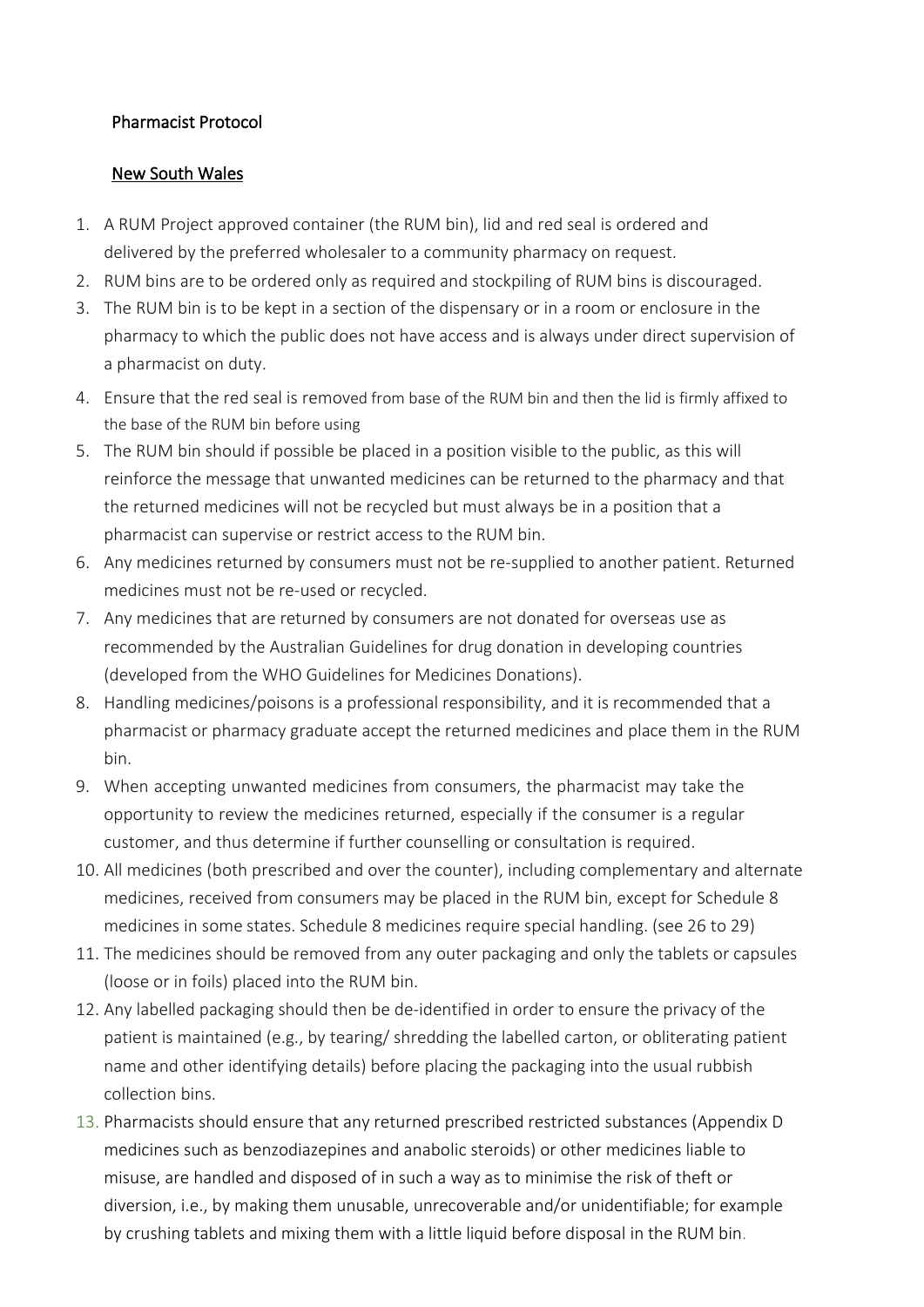## Pharmacist Protocol

## New South Wales

- 1. A RUM Project approved container (the RUM bin), lid and red seal is ordered and delivered by the preferred wholesaler to a community pharmacy on request.
- 2. RUM bins are to be ordered only as required and stockpiling of RUM bins is discouraged.
- 3. The RUM bin is to be kept in a section of the dispensary or in a room or enclosure in the pharmacy to which the public does not have access and is always under direct supervision of a pharmacist on duty.
- 4. Ensure that the red seal is removed from base of the RUM bin and then the lid is firmly affixed to the base of the RUM bin before using
- 5. The RUM bin should if possible be placed in a position visible to the public, as this will reinforce the message that unwanted medicines can be returned to the pharmacy and that the returned medicines will not be recycled but must always be in a position that a pharmacist can supervise or restrict access to the RUM bin.
- 6. Any medicines returned by consumers must not be re-supplied to another patient. Returned medicines must not be re-used or recycled.
- 7. Any medicines that are returned by consumers are not donated for overseas use as recommended by the Australian Guidelines for drug donation in developing countries (developed from the WHO Guidelines for Medicines Donations).
- 8. Handling medicines/poisons is a professional responsibility, and it is recommended that a pharmacist or pharmacy graduate accept the returned medicines and place them in the RUM bin.
- 9. When accepting unwanted medicines from consumers, the pharmacist may take the opportunity to review the medicines returned, especially if the consumer is a regular customer, and thus determine if further counselling or consultation is required.
- 10. All medicines (both prescribed and over the counter), including complementary and alternate medicines, received from consumers may be placed in the RUM bin, except for Schedule 8 medicines in some states. Schedule 8 medicines require special handling. (see 26 to 29)
- 11. The medicines should be removed from any outer packaging and only the tablets or capsules (loose or in foils) placed into the RUM bin.
- 12. Any labelled packaging should then be de-identified in order to ensure the privacy of the patient is maintained (e.g., by tearing/ shredding the labelled carton, or obliterating patient name and other identifying details) before placing the packaging into the usual rubbish collection bins.
- 13. Pharmacists should ensure that any returned prescribed restricted substances (Appendix D medicines such as benzodiazepines and anabolic steroids) or other medicines liable to misuse, are handled and disposed of in such a way as to minimise the risk of theft or diversion, i.e., by making them unusable, unrecoverable and/or unidentifiable; for example by crushing tablets and mixing them with a little liquid before disposal in the RUM bin.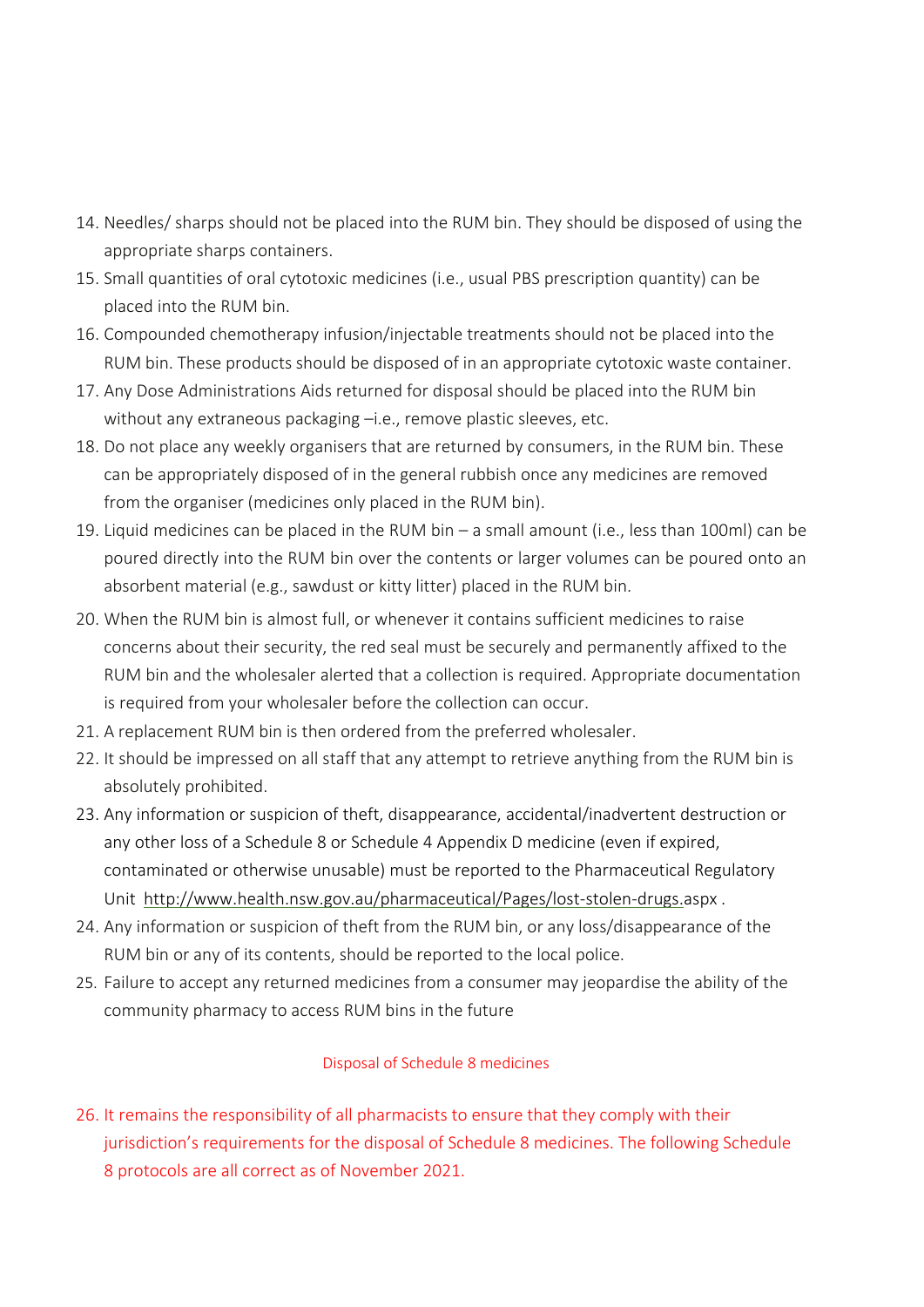- 14. Needles/ sharps should not be placed into the RUM bin. They should be disposed of using the appropriate sharps containers.
- 15. Small quantities of oral cytotoxic medicines (i.e., usual PBS prescription quantity) can be placed into the RUM bin.
- 16. Compounded chemotherapy infusion/injectable treatments should not be placed into the RUM bin. These products should be disposed of in an appropriate cytotoxic waste container.
- 17. Any Dose Administrations Aids returned for disposal should be placed into the RUM bin without any extraneous packaging –i.e., remove plastic sleeves, etc.
- 18. Do not place any weekly organisers that are returned by consumers, in the RUM bin. These can be appropriately disposed of in the general rubbish once any medicines are removed from the organiser (medicines only placed in the RUM bin).
- 19. Liquid medicines can be placed in the RUM bin a small amount (i.e., less than 100ml) can be poured directly into the RUM bin over the contents or larger volumes can be poured onto an absorbent material (e.g., sawdust or kitty litter) placed in the RUM bin.
- 20. When the RUM bin is almost full, or whenever it contains sufficient medicines to raise concerns about their security, the red seal must be securely and permanently affixed to the RUM bin and the wholesaler alerted that a collection is required. Appropriate documentation is required from your wholesaler before the collection can occur.
- 21. A replacement RUM bin is then ordered from the preferred wholesaler.
- 22. It should be impressed on all staff that any attempt to retrieve anything from the RUM bin is absolutely prohibited.
- 23. Any information or suspicion of theft, disappearance, accidental/inadvertent destruction or any other loss of a Schedule 8 or Schedule 4 Appendix D medicine (even if expired, contaminated or otherwise unusable) must be reported to the Pharmaceutical Regulatory Unit <http://www.health.nsw.gov.au/pharmaceutical/Pages/lost-stolen-drugs.aspx> .
- 24. Any information or suspicion of theft from the RUM bin, or any loss/disappearance of the RUM bin or any of its contents, should be reported to the local police.
- 25. Failure to accept any returned medicines from a consumer may jeopardise the ability of the community pharmacy to access RUM bins in the future

## Disposal of Schedule 8 medicines

26. It remains the responsibility of all pharmacists to ensure that they comply with their jurisdiction's requirements for the disposal of Schedule 8 medicines. The following Schedule 8 protocols are all correct as of November 2021.